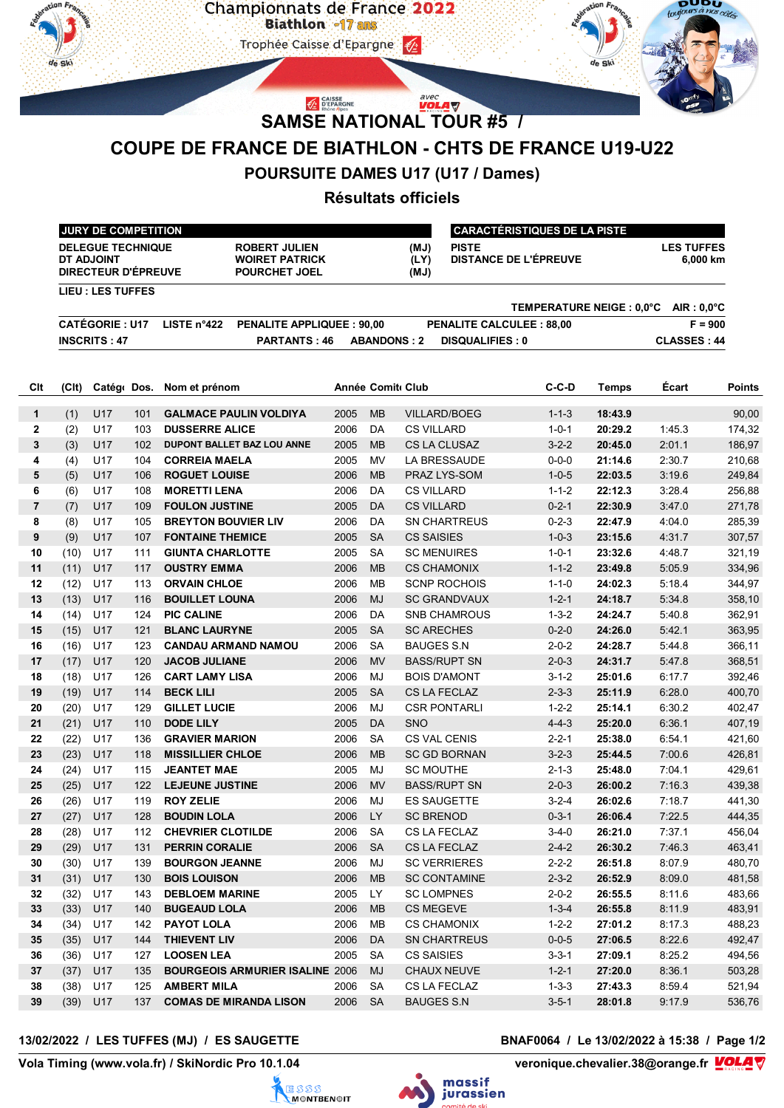

# **POURSUITE DAMES U17 (U17 / Dames)**

## **Résultats officiels**

| <b>JURY DE COMPETITION</b>                                    |                      |                                                                                               |                     | I CARACTÉRISTIQUES DE LA PISTE        |                                       |  |  |  |
|---------------------------------------------------------------|----------------------|-----------------------------------------------------------------------------------------------|---------------------|---------------------------------------|---------------------------------------|--|--|--|
| <b>DELEGUE TECHNIQUE</b><br>DT ADJOINT<br>DIRECTEUR D'ÉPREUVE |                      | (MJ)<br><b>ROBERT JULIEN</b><br>(LY)<br><b>WOIRET PATRICK</b><br>(MJ)<br><b>POURCHET JOEL</b> |                     | <b>PISTE</b><br>DISTANCE DE L'ÉPREUVE | <b>LES TUFFES</b><br>6,000 km         |  |  |  |
| LIEU : LES TUFFES                                             |                      |                                                                                               |                     |                                       |                                       |  |  |  |
|                                                               |                      |                                                                                               |                     |                                       | TEMPERATURE NEIGE : 0.0°C AIR : 0.0°C |  |  |  |
| <b>CATÉGORIE: U17</b>                                         | LISTE $n^{\circ}422$ | <b>PENALITE APPLIQUEE: 90.00</b>                                                              |                     | <b>PENALITE CALCULEE: 88.00</b>       | $F = 900$                             |  |  |  |
| <b>INSCRITS: 47</b>                                           |                      | <b>PARTANTS: 46</b>                                                                           | <b>ABANDONS</b> : 2 | <b>DISQUALIFIES: 0</b>                | <b>CLASSES: 44</b>                    |  |  |  |

| Clt                     | (C <sub>l</sub> ) | Catégo Dos. |            | Nom et prénom                                               |      | <b>Année Comit Club</b> |                                         | $C-C-D$                    | <b>Temps</b>       | Écart            | Points           |
|-------------------------|-------------------|-------------|------------|-------------------------------------------------------------|------|-------------------------|-----------------------------------------|----------------------------|--------------------|------------------|------------------|
| $\mathbf{1}$            | (1)               | U17         | 101        | <b>GALMACE PAULIN VOLDIYA</b>                               | 2005 | <b>MB</b>               | <b>VILLARD/BOEG</b>                     | $1 - 1 - 3$                | 18:43.9            |                  | 90,00            |
| $\mathbf{2}$            | (2)               | U17         | 103        | <b>DUSSERRE ALICE</b>                                       | 2006 | <b>DA</b>               | <b>CS VILLARD</b>                       | $1 - 0 - 1$                | 20:29.2            | 1:45.3           | 174,32           |
| 3                       | (3)               | U17         | 102        | DUPONT BALLET BAZ LOU ANNE                                  | 2005 | <b>MB</b>               | <b>CS LA CLUSAZ</b>                     | $3 - 2 - 2$                | 20:45.0            | 2:01.1           | 186,97           |
| 4                       | (4)               | U17         | 104        | <b>CORREIA MAELA</b>                                        | 2005 | <b>MV</b>               | LA BRESSAUDE                            | $0 - 0 - 0$                | 21:14.6            | 2:30.7           | 210,68           |
| 5                       | (5)               | U17         | 106        | <b>ROGUET LOUISE</b>                                        | 2006 | <b>MB</b>               | PRAZ LYS-SOM                            | $1 - 0 - 5$                | 22:03.5            | 3.196            | 249,84           |
| 6                       | (6)               | U17         | 108        | <b>MORETTI LENA</b>                                         | 2006 | DA                      | <b>CS VILLARD</b>                       | $1 - 1 - 2$                | 22:12.3            | 3:28.4           | 256,88           |
| $\overline{\mathbf{r}}$ | (7)               | U17         | 109        | <b>FOULON JUSTINE</b>                                       | 2005 | <b>DA</b>               | <b>CS VILLARD</b>                       | $0 - 2 - 1$                | 22:30.9            | 3:47.0           | 271,78           |
| 8                       | (8)               | U17         | 105        | <b>BREYTON BOUVIER LIV</b>                                  | 2006 | DA                      | <b>SN CHARTREUS</b>                     | $0 - 2 - 3$                | 22:47.9            | 4:04.0           | 285,39           |
| 9                       | (9)               | U17         | 107        | <b>FONTAINE THEMICE</b>                                     | 2005 | <b>SA</b>               | <b>CS SAISIES</b>                       | $1 - 0 - 3$                | 23:15.6            | 4:31.7           | 307,57           |
| 10                      | (10)              | U17         | 111        | <b>GIUNTA CHARLOTTE</b>                                     | 2005 | <b>SA</b>               | <b>SC MENUIRES</b>                      | $1 - 0 - 1$                | 23:32.6            | 4:48.7           | 321,19           |
| 11                      | (11)              | U17         | 117        | <b>OUSTRY EMMA</b>                                          | 2006 | <b>MB</b>               | <b>CS CHAMONIX</b>                      | $1 - 1 - 2$                | 23:49.8            | 5:05.9           | 334,96           |
| 12                      | (12)              | U17         | 113        | <b>ORVAIN CHLOE</b>                                         | 2006 | <b>MB</b>               | <b>SCNP ROCHOIS</b>                     | $1 - 1 - 0$                | 24:02.3            | 5:18.4           | 344,97           |
| 13                      | (13)              | U17         | 116        | <b>BOUILLET LOUNA</b>                                       | 2006 | <b>MJ</b>               | <b>SC GRANDVAUX</b>                     | $1 - 2 - 1$                | 24:18.7            | 5:34.8           | 358,10           |
| 14                      | (14)              | U17         | 124        | <b>PIC CALINE</b>                                           | 2006 | <b>DA</b>               | <b>SNB CHAMROUS</b>                     | $1 - 3 - 2$                | 24:24.7            | 5:40.8           | 362,91           |
| 15                      | (15)              | U17         | 121        | <b>BLANC LAURYNE</b>                                        | 2005 | <b>SA</b>               | <b>SC ARECHES</b>                       | $0 - 2 - 0$                | 24:26.0            | 5:42.1           | 363,95           |
| 16                      | (16)              | U17         | 123        | <b>CANDAU ARMAND NAMOU</b>                                  | 2006 | <b>SA</b>               | <b>BAUGES S.N</b>                       | $2 - 0 - 2$                | 24:28.7            | 5:44.8           | 366,11           |
| 17                      | (17)              | U17         | 120        | <b>JACOB JULIANE</b>                                        | 2006 | <b>MV</b>               | <b>BASS/RUPT SN</b>                     | $2 - 0 - 3$                | 24:31.7            | 5478             | 368,51           |
| 18                      | (18)              | U17         | 126        | <b>CART LAMY LISA</b>                                       | 2006 | MJ                      | <b>BOIS D'AMONT</b>                     | $3 - 1 - 2$                | 25:01.6            | 6:17.7           | 392,46           |
| 19                      | (19)              | U17         | 114        | <b>BECK LILI</b>                                            | 2005 | <b>SA</b>               | <b>CS LA FECLAZ</b>                     | $2 - 3 - 3$                | 25:11.9            | 6:28.0           | 400,70           |
| 20                      | (20)              | U17         | 129        | <b>GILLET LUCIE</b>                                         | 2006 | MJ                      | <b>CSR PONTARLI</b>                     | $1 - 2 - 2$                | 25:14.1            | 6:30.2           | 402,47           |
| 21                      | (21)              | U17         | 110        | <b>DODE LILY</b>                                            | 2005 | <b>DA</b>               | <b>SNO</b>                              | $4 - 4 - 3$                | 25:20.0            | 6:36.1           | 407,19           |
| 22                      | (22)              | U17         | 136        | <b>GRAVIER MARION</b>                                       | 2006 | <b>SA</b>               | <b>CS VAL CENIS</b>                     | $2 - 2 - 1$                | 25:38.0            | 6:54.1           | 421,60           |
| 23                      | (23)              | U17         | 118        | <b>MISSILLIER CHLOE</b>                                     | 2006 | <b>MB</b>               | <b>SC GD BORNAN</b>                     | $3 - 2 - 3$                | 25:44.5            | 7:00.6           | 426,81           |
| 24                      | (24)              | U17         | 115        | <b>JEANTET MAE</b>                                          | 2005 | MJ                      | <b>SC MOUTHE</b>                        | $2 - 1 - 3$                | 25:48.0            | 7:04.1           | 429,61           |
| 25                      | (25)              | U17         | 122        | <b>LEJEUNE JUSTINE</b>                                      | 2006 | <b>MV</b>               | <b>BASS/RUPT SN</b>                     | $2 - 0 - 3$                | 26:00.2            | 7:16.3           | 439,38           |
| 26                      | (26)              | U17         | 119        | <b>ROY ZELIE</b>                                            | 2006 | MJ                      | <b>ES SAUGETTE</b>                      | $3 - 2 - 4$                | 26:02.6            | 7:18.7           | 441,30           |
| 27                      | (27)              | U17         | 128        | <b>BOUDIN LOLA</b>                                          | 2006 | <b>LY</b>               | <b>SC BRENOD</b>                        | $0 - 3 - 1$                | 26:06.4            | 7:22.5           | 444,35           |
| 28                      | (28)              | U17         | 112        | <b>CHEVRIER CLOTILDE</b>                                    | 2006 | <b>SA</b>               | <b>CS LA FECLAZ</b>                     | $3 - 4 - 0$                | 26:21.0            | 7:37.1           | 456,04           |
| 29                      | (29)              | U17         | 131        | <b>PERRIN CORALIE</b>                                       | 2006 | <b>SA</b>               | CS LA FECLAZ                            | $2 - 4 - 2$                | 26:30.2            | 7:46.3           | 463,41           |
| 30                      | (30)              | U17         | 139        | <b>BOURGON JEANNE</b>                                       | 2006 | MJ                      | <b>SC VERRIERES</b>                     | $2 - 2 - 2$                | 26:51.8            | 8:07.9           | 480,70           |
| 31                      | (31)              | U17         | 130        | <b>BOIS LOUISON</b>                                         | 2006 | <b>MB</b>               | <b>SC CONTAMINE</b>                     | $2 - 3 - 2$                | 26:52.9            | 8:09.0           | 481,58           |
| 32                      | (32)              | U17         | 143        | <b>DEBLOEM MARINE</b>                                       | 2005 | LY.                     | <b>SC LOMPNES</b>                       | $2 - 0 - 2$                | 26:55.5            | 8:11.6           | 483,66           |
| 33                      | (33)              | U17         | 140        | <b>BUGEAUD LOLA</b>                                         | 2006 | <b>MB</b>               | <b>CS MEGEVE</b>                        | $1 - 3 - 4$                | 26:55.8            | 8:11.9           | 483,91           |
| 34                      | (34)              | U17         | 142        | <b>PAYOT LOLA</b>                                           | 2006 | <b>MB</b>               | <b>CS CHAMONIX</b>                      | $1 - 2 - 2$                | 27:01.2            | 8:17.3           | 488,23<br>492,47 |
| 35                      | (35)              | U17         | 144        | <b>THIEVENT LIV</b>                                         | 2006 | DA                      | <b>SN CHARTREUS</b>                     | $0 - 0 - 5$                | 27:06.5            | 8:22.6           |                  |
| 36<br>37                | (36)<br>(37)      | U17<br>U17  | 127<br>135 | <b>LOOSEN LEA</b><br><b>BOURGEOIS ARMURIER ISALINE 2006</b> | 2005 | <b>SA</b><br><b>MJ</b>  | <b>CS SAISIES</b><br><b>CHAUX NEUVE</b> | $3 - 3 - 1$<br>$1 - 2 - 1$ | 27:09.1<br>27:20.0 | 8:25.2<br>8:36.1 | 494,56<br>503,28 |
| 38                      | (38)              | U17         | 125        | <b>AMBERT MILA</b>                                          | 2006 | <b>SA</b>               | CS LA FECLAZ                            | $1 - 3 - 3$                | 27:43.3            | 8:59.4           | 521,94           |
| 39                      | (39)              | U17         | 137        | <b>COMAS DE MIRANDA LISON</b>                               | 2006 | <b>SA</b>               | <b>BAUGES S.N</b>                       | $3 - 5 - 1$                | 28:01.8            | 9:17.9           | 536,76           |
|                         |                   |             |            |                                                             |      |                         |                                         |                            |                    |                  |                  |

### **13/02/2022 / LES TUFFES (MJ) / ES SAUGETTE BNAF0064 / Le 13/02/2022 à 15:38 / Page 1/2**

Vola Timing (www.vola.fr) / SkiNordic Pro 10.1.04





veronique.chevalier.38@orange.fr **VOLA**